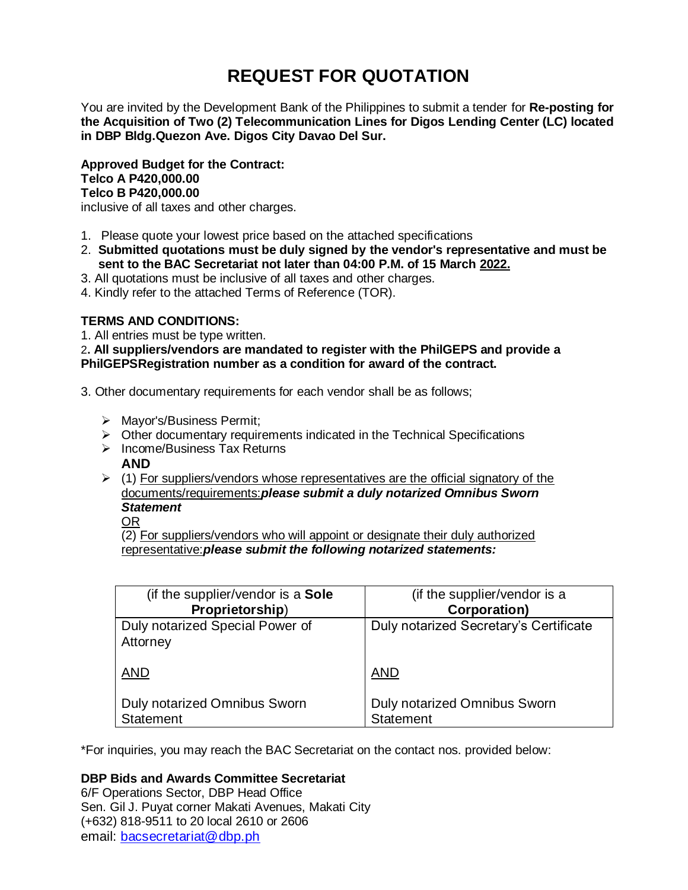# **REQUEST FOR QUOTATION**

You are invited by the Development Bank of the Philippines to submit a tender for **Re-posting for the Acquisition of Two (2) Telecommunication Lines for Digos Lending Center (LC) located in DBP Bldg.Quezon Ave. Digos City Davao Del Sur.**

**Approved Budget for the Contract: Telco A P420,000.00 Telco B P420,000.00**

inclusive of all taxes and other charges.

- 1. Please quote your lowest price based on the attached specifications
- 2. **Submitted quotations must be duly signed by the vendor's representative and must be sent to the BAC Secretariat not later than 04:00 P.M. of 15 March 2022.**
- 3. All quotations must be inclusive of all taxes and other charges.
- 4. Kindly refer to the attached Terms of Reference (TOR).

# **TERMS AND CONDITIONS:**

1. All entries must be type written.

2**. All suppliers/vendors are mandated to register with the PhilGEPS and provide a PhilGEPSRegistration number as a condition for award of the contract.**

- 3. Other documentary requirements for each vendor shall be as follows;
	- > Mayor's/Business Permit;
	- $\triangleright$  Other documentary requirements indicated in the Technical Specifications
	- $\triangleright$  Income/Business Tax Returns

# **AND**

 $\geq$  (1) For suppliers/vendors whose representatives are the official signatory of the documents/requirements:*please submit a duly notarized Omnibus Sworn Statement*

OR

(2) For suppliers/vendors who will appoint or designate their duly authorized representative:*please submit the following notarized statements:*

| (if the supplier/vendor is a Sole                | (if the supplier/vendor is a                     |
|--------------------------------------------------|--------------------------------------------------|
| Proprietorship)                                  | Corporation)                                     |
| Duly notarized Special Power of<br>Attorney      | Duly notarized Secretary's Certificate           |
| <b>AND</b>                                       | <b>AND</b>                                       |
| <b>Duly notarized Omnibus Sworn</b><br>Statement | Duly notarized Omnibus Sworn<br><b>Statement</b> |

\*For inquiries, you may reach the BAC Secretariat on the contact nos. provided below:

# **DBP Bids and Awards Committee Secretariat**

6/F Operations Sector, DBP Head Office Sen. Gil J. Puyat corner Makati Avenues, Makati City (+632) 818-9511 to 20 local 2610 or 2606 email: [bacsecretariat@dbp.ph](mailto:bacsecretariat@dbp.ph)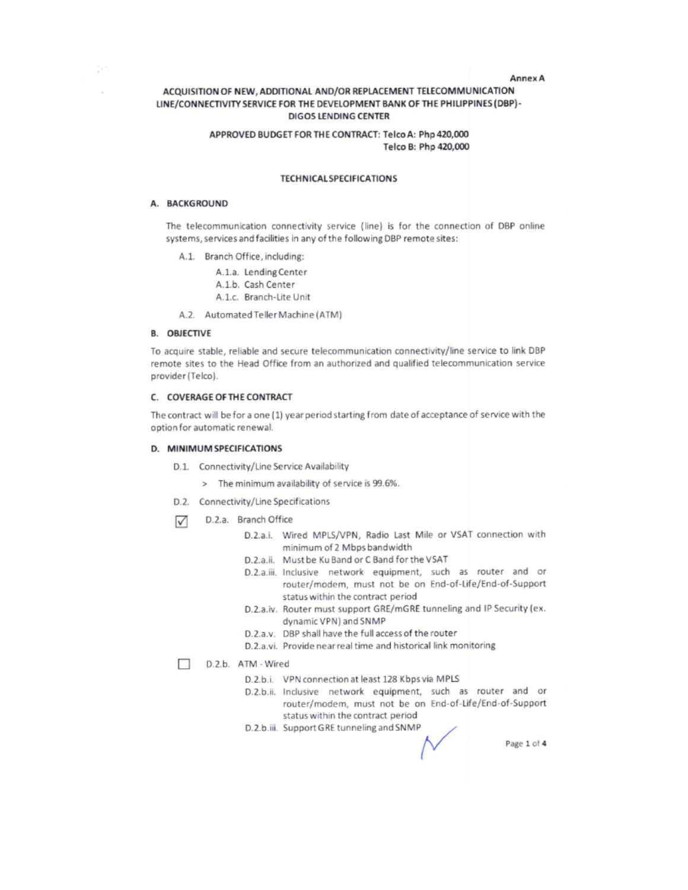#### **Annex A**

## ACQUISITION OF NEW, ADDITIONAL AND/OR REPLACEMENT TELECOMMUNICATION LINE/CONNECTIVITY SERVICE FOR THE DEVELOPMENT BANK OF THE PHILIPPINES (DBP)-**DIGOS LENDING CENTER**

## APPROVED BUDGET FOR THE CONTRACT: Telco A: Php 420,000 Telco B: Php 420,000

## **TECHNICAL SPECIFICATIONS**

#### A. BACKGROUND

Çe.

The telecommunication connectivity service (line) is for the connection of DBP online systems, services and facilities in any of the following DBP remote sites:

- A.1. Branch Office, including:
	- A.1.a. Lending Center
	- A.1.b. Cash Center
	- A.1.c. Branch-Lite Unit
- A.2. Automated Teller Machine (ATM)

## **B. OBJECTIVE**

To acquire stable, reliable and secure telecommunication connectivity/line service to link DBP remote sites to the Head Office from an authorized and qualified telecommunication service provider (Telco).

#### C. COVERAGE OF THE CONTRACT

The contract will be for a one (1) year period starting from date of acceptance of service with the option for automatic renewal.

#### D. MINIMUM SPECIFICATIONS

- D.1. Connectivity/Line Service Availability
	- > The minimum availability of service is 99.6%.
- D.2. Connectivity/Line Specifications
- D.2.a. Branch Office ☑
	- D.2.a.i. Wired MPLS/VPN, Radio Last Mile or VSAT connection with minimum of 2 Mbps bandwidth
	- D.2.a.ii. Must be Ku Band or C Band for the VSAT
	- D.2.a.iii. Inclusive network equipment, such as router and or router/modem, must not be on End-of-Life/End-of-Support status within the contract period
	- D.2.a.iv. Router must support GRE/mGRE tunneling and IP Security (ex. dynamic VPN) and SNMP
	- D.2.a.v. DBP shall have the full access of the router
	- D.2.a.vi. Provide near real time and historical link monitoring

#### D.2.b. ATM - Wired

- D.2.b.i. VPN connection at least 128 Kbps via MPLS
- D.2.b.ii. Inclusive network equipment, such as router and or router/modem, must not be on End-of-Life/End-of-Support status within the contract period
- D.2.b.iii. Support GRE tunneling and SNMP

Page 1 of 4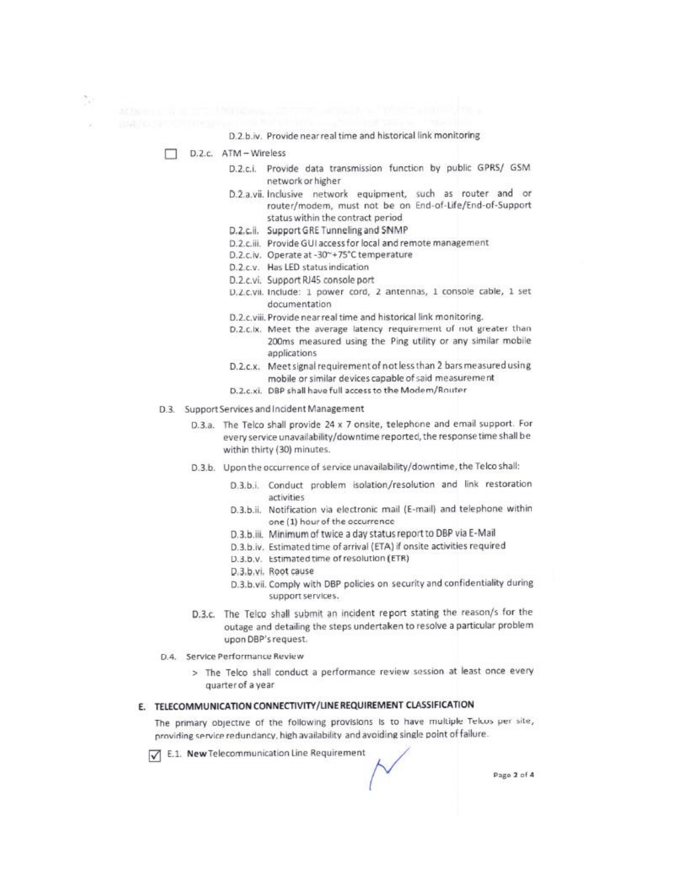D.2.b.iv. Provide near real time and historical link monitoring

D.2.c. ATM-Wireless

- D.2.c.i. Provide data transmission function by public GPRS/ GSM network or higher
- D.2.a.vii. Inclusive network equipment, such as router and or router/modem, must not be on End-of-Life/End-of-Support status within the contract period
- D.2.c.ii. Support GRE Tunneling and SNMP
- D.2.c.iii. Provide GUI access for local and remote management
- D.2.c.iv. Operate at -30~+75°C temperature
- D.2.c.v. Has LED status indication
- D.2.c.vi. Support RJ45 console port
- D.Z.c.vii. Include: 1 power cord, 2 antennas, 1 console cable, 1 set documentation
- D.2.c.viii. Provide near real time and historical link monitoring.
- D.2.c.lx. Meet the average latency requirement of not greater than 200ms measured using the Ping utility or any similar mobile applications
- D.2.c.x. Meet signal requirement of not less than 2 bars measured using mobile or similar devices capable of said measurement
- D.2.c.xi. DBP shall have full access to the Modem/Router
- D.3. Support Services and Incident Management
	- D.3.a. The Telco shall provide 24 x 7 onsite, telephone and email support. For every service unavailability/downtime reported, the response time shall be within thirty (30) minutes.
	- D.3.b. Upon the occurrence of service unavailability/downtime, the Telco shall:
		- D.3.b.i. Conduct problem isolation/resolution and link restoration activities
		- D.3.b.ii. Notification via electronic mail (E-mail) and telephone within one (1) hour of the occurrence
		- D.3.b.iii. Minimum of twice a day status report to DBP via E-Mail
		- D.3.b.iv. Estimated time of arrival (ETA) if onsite activities required
		- D.3.b.v. Estimated time of resolution (ETR)
		- D.3.b.vi. Root cause
		- D.3.b.vii. Comply with DBP policies on security and confidentiality during support services.
	- D.3.c. The Telco shall submit an incident report stating the reason/s for the outage and detailing the steps undertaken to resolve a particular problem upon DBP's request.
- D.4. Service Performance Review
	- > The Telco shall conduct a performance review session at least once every quarter of a year

## E. TELECOMMUNICATION CONNECTIVITY/LINE REQUIREMENT CLASSIFICATION

The primary objective of the following provisions is to have multiple Telcos per site, providing service redundancy, high availability and avoiding single point of failure.

E.1. New Telecommunication Line Requirement

Page 2 of 4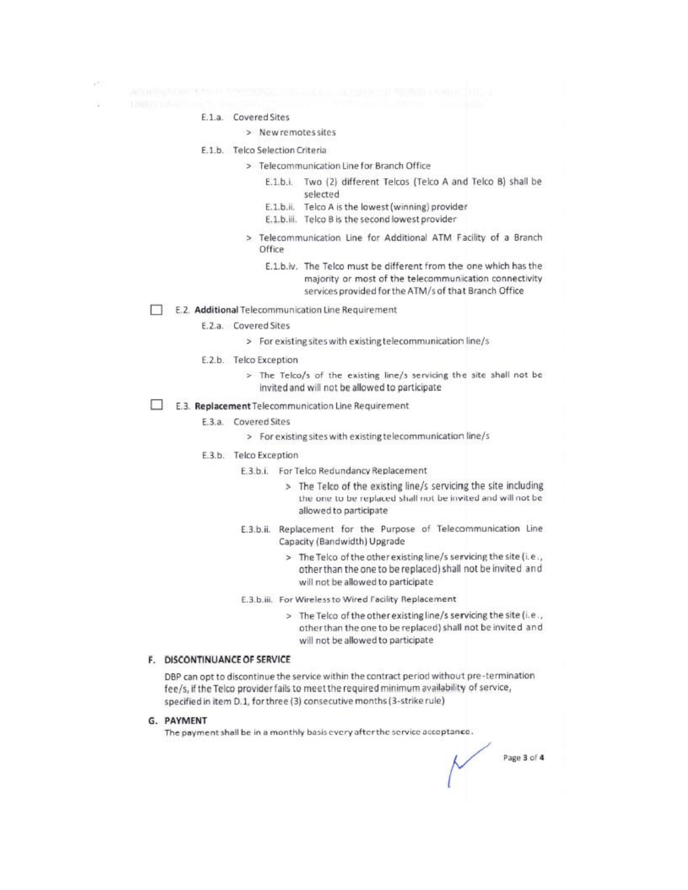- - - E.1.a. Covered Sites

## > New remotes sites

- E.1.b. Telco Selection Criteria
	- > Telecommunication Line for Branch Office
		- E.1.b.i. Two (2) different Telcos (Telco A and Telco B) shall be selected
		- E.1.b.ii. Telco A is the lowest (winning) provider
		- E.1.b.iii. Telco B is the second lowest provider
	- > Telecommunication Line for Additional ATM Facility of a Branch Office
		- E.1.b.iv. The Telco must be different from the one which has the majority or most of the telecommunication connectivity services provided for the ATM/s of that Branch Office
- E.2. Additional Telecommunication Line Requirement
	- E.2.a. Covered Sites
		- > For existing sites with existing telecommunication line/s
	- E.2.b. Telco Exception
		- > The Telco/s of the existing line/s servicing the site shall not be invited and will not be allowed to participate
- E.3. Replacement Telecommunication Line Requirement
	- E.3.a. Covered Sites
		- > For existing sites with existing telecommunication line/s
	- E.3.b. Telco Exception
		- E.3.b.i. For Telco Redundancy Replacement
			- > The Telco of the existing line/s servicing the site including the one to be replaced shall not be invited and will not be allowed to participate
		- E.3.b.ii. Replacement for the Purpose of Telecommunication Line Capacity (Bandwidth) Upgrade
			- > The Telco of the other existing line/s servicing the site (i.e., other than the one to be replaced) shall not be invited and will not be allowed to participate
		- E.3.b.iii. For Wireless to Wired Facility Replacement
			- > The Telco of the other existing line/s servicing the site (i.e., other than the one to be replaced) shall not be invited and will not be allowed to participate

#### F. DISCONTINUANCE OF SERVICE

DBP can opt to discontinue the service within the contract period without pre-termination fee/s, if the Telco provider fails to meet the required minimum availability of service, specified in item D.1, for three (3) consecutive months (3-strike rule)

#### G. PAYMENT

The payment shall be in a monthly basis every after the service acceptance.

Page 3 of 4